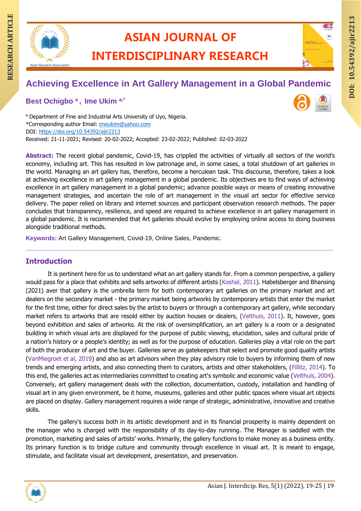

## **ASIAN JOURNAL OF**

### **INTERDISCIPLINARY RESEARCH**

# **RESEARCH ARTIAN JOURNAL OF ARTICLE INTERDISCIPLINARY RESEARCH Achieving Excellence in Art Gallery Management in a Global Pandemic**

**Best Ochigbo <sup>a</sup> , Ime Ukim a,\***

a Department of Fine and Industrial Arts University of Uyo, Nigeria. \*Corresponding author Email: [imeukim@yahoo.com](mailto:imeukim@yahoo.com) DOI:<https://doi.org/10.54392/ajir2213> Received: 21-11-2021; Revised: 20-02-2022; Accepted: 23-02-2022; Published: 02-03-2022

**DOI: 10.54392/ajir221** DOI: 10.54392/ajir2213

**Abstract:** The recent global pandemic, Covid-19, has crippled the activities of virtually all sectors of the world's economy, including art. This has resulted in low patronage and, in some cases, a total shutdown of art galleries in the world. Managing an art gallery has, therefore, become a herculean task. This discourse, therefore, takes a look at achieving excellence in art gallery management in a global pandemic. Its objectives are to find ways of achieving excellence in art gallery management in a global pandemic; advance possible ways or means of creating innovative management strategies, and ascertain the role of art management in the visual art sector for effective service delivery. The paper relied on library and internet sources and participant observation research methods. The paper concludes that transparency, resilience, and speed are required to achieve excellence in art gallery management in a global pandemic. It is recommended that Art galleries should evolve by employing online access to doing business alongside traditional methods.

**Keywords:** Art Gallery Management, Covid-19, Online Sales, Pandemic.

#### **Introduction**

It is pertinent here for us to understand what an art gallery stands for. From a common perspective, a gallery would pass for a place that exhibits and sells artworks of different artists (Koshal, 2011). Habelsberger and Bhansing (2021) aver that gallery is the umbrella term for both contemporary art galleries on the primary market and art dealers on the secondary market - the primary market being artworks by contemporary artists that enter the market for the first time, either for direct sales by the artist to buyers or through a contemporary art gallery, while secondary market refers to artworks that are resold either by auction houses or dealers, (Velthuis, 2011). It, however, goes beyond exhibition and sales of artworks. At the risk of oversimplification, an art gallery is a room or a designated building in which visual arts are displayed for the purpose of public viewing, elucidation, sales and cultural pride of a nation's history or a people's identity; as well as for the purpose of education. Galleries play a vital role on the part of both the producer of art and the buyer. Galleries serve as gatekeepers that select and promote good quality artists (VanMiegroet et al, 2019) and also as art advisors when they play advisory role to buyers by informing them of new trends and emerging artists, and also connecting them to curators, artists and other stakeholders, (Fillitz, 2014). To this end, the galleries act as intermediaries committed to creating art's symbolic and economic value (Velthuis, 2004). Conversely, art gallery management deals with the collection, documentation, custody, installation and handling of visual art in any given environment, be it home, museums, galleries and other public spaces where visual art objects are placed on display. Gallery management requires a wide range of strategic, administrative, innovative and creative skills.

The gallery's success both in its artistic development and in its financial prosperity is mainly dependent on the manager who is charged with the responsibility of its day-to-day running. The Manager is saddled with the promotion, marketing and sales of artists' works. Primarily, the gallery functions to make money as a business entity. Its primary function is to bridge culture and community through excellence in visual art. It is meant to engage, stimulate, and facilitate visual art development, presentation, and preservation.

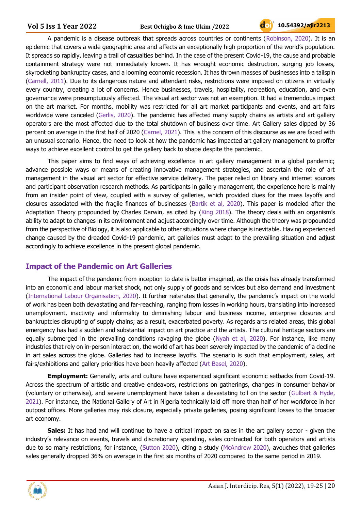A pandemic is a disease outbreak that spreads across countries or continents (Robinson, 2020). It is an epidemic that covers a wide geographic area and affects an exceptionally high proportion of the world's population. It spreads so rapidly, leaving a trail of casualties behind. In the case of the present Covid-19, the cause and probable containment strategy were not immediately known. It has wrought economic destruction, surging job losses, skyrocketing bankruptcy cases, and a looming economic recession. It has thrown masses of businesses into a tailspin (Carnell, 2011). Due to its dangerous nature and attendant risks, restrictions were imposed on citizens in virtually every country, creating a lot of concerns. Hence businesses, travels, hospitality, recreation, education, and even governance were presumptuously affected. The visual art sector was not an exemption. It had a tremendous impact on the art market. For months, mobility was restricted for all art market participants and events, and art fairs worldwide were canceled (Gerlis, 2020). The pandemic has affected many supply chains as artists and art gallery operators are the most affected due to the total shutdown of business over time. Art Gallery sales dipped by 36 percent on average in the first half of 2020 (Carnel, 2021). This is the concern of this discourse as we are faced with an unusual scenario. Hence, the need to look at how the pandemic has impacted art gallery management to proffer ways to achieve excellent control to get the gallery back to shape despite the pandemic.

This paper aims to find ways of achieving excellence in art gallery management in a global pandemic; advance possible ways or means of creating innovative management strategies, and ascertain the role of art management in the visual art sector for effective service delivery. The paper relied on library and internet sources and participant observation research methods. As participants in gallery management, the experience here is mainly from an insider point of view, coupled with a survey of galleries, which provided clues for the mass layoffs and closures associated with the fragile finances of businesses (Bartik et al, 2020). This paper is modeled after the Adaptation Theory propounded by Charles Darwin, as cited by (King 2018). The theory deals with an organism's ability to adapt to changes in its environment and adjust accordingly over time. Although the theory was propounded from the perspective of Biology, it is also applicable to other situations where change is inevitable. Having experienced change caused by the dreaded Covid-19 pandemic, art galleries must adapt to the prevailing situation and adjust accordingly to achieve excellence in the present global pandemic.

#### **Impact of the Pandemic on Art Galleries**

The impact of the pandemic from inception to date is better imagined, as the crisis has already transformed into an economic and labour market shock, not only supply of goods and services but also demand and investment (International Labour Organisation, 2020). It further reiterates that generally, the pandemic's impact on the world of work has been both devastating and far-reaching, ranging from losses in working hours, translating into increased unemployment, inactivity and informality to diminishing labour and business income, enterprise closures and bankruptcies disrupting of supply chains; as a result, exacerbated poverty. As regards arts related areas, this global emergency has had a sudden and substantial impact on art practice and the artists. The cultural heritage sectors are equally submerged in the prevailing conditions ravaging the globe (Nyah et al, 2020). For instance, like many industries that rely on in-person interaction, the world of art has been severely impacted by the pandemic of a decline in art sales across the globe. Galleries had to increase layoffs. The scenario is such that employment, sales, art fairs/exhibitions and gallery priorities have been heavily affected (Art Basel, 2020).

**Employment:** Generally, arts and culture have experienced significant economic setbacks from Covid-19. Across the spectrum of artistic and creative endeavors, restrictions on gatherings, changes in consumer behavior (voluntary or otherwise), and severe unemployment have taken a devastating toll on the sector (Gulbert & Hyde, 2021). For instance, the National Gallery of Art in Nigeria technically laid off more than half of her workforce in her outpost offices. More galleries may risk closure, especially private galleries, posing significant losses to the broader art economy.

**Sales:** It has had and will continue to have a critical impact on sales in the art gallery sector - given the industry's relevance on events, travels and discretionary spending, sales contracted for both operators and artists due to so many restrictions, for instance, (Sutton 2020), citing a study (McAndrew 2020), avouches that galleries sales generally dropped 36% on average in the first six months of 2020 compared to the same period in 2019.

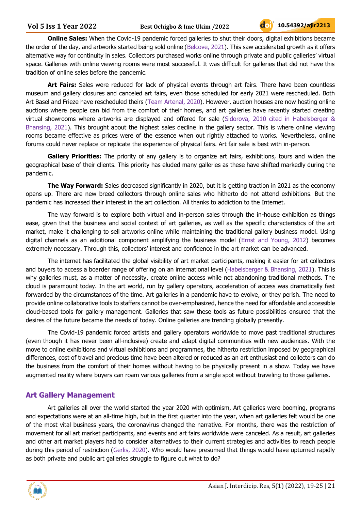**Online Sales:** When the Covid-19 pandemic forced galleries to shut their doors, digital exhibitions became the order of the day, and artworks started being sold online (Belcove, 2021). This saw accelerated growth as it offers alternative way for continuity in sales. Collectors purchased works online through private and public galleries' virtual space. Galleries with online viewing rooms were most successful. It was difficult for galleries that did not have this tradition of online sales before the pandemic.

**Art Fairs:** Sales were reduced for lack of physical events through art fairs. There have been countless museum and gallery closures and canceled art fairs, even those scheduled for early 2021 were rescheduled. Both Art Basel and Frieze have rescheduled theirs (Team Artenal, 2020). However, auction houses are now hosting online auctions where people can bid from the comfort of their homes, and art galleries have recently started creating virtual showrooms where artworks are displayed and offered for sale (Sidorova, 2010 cited in Habelsberger & Bhansing, 2021). This brought about the highest sales decline in the gallery sector. This is where online viewing rooms became effective as prices were of the essence when out rightly attached to works. Nevertheless, online forums could never replace or replicate the experience of physical fairs. Art fair sale is best with in-person.

**Gallery Priorities:** The priority of any gallery is to organize art fairs, exhibitions, tours and widen the geographical base of their clients. This priority has eluded many galleries as these have shifted markedly during the pandemic.

**The Way Forward:** Sales decreased significantly in 2020, but it is getting traction in 2021 as the economy opens up. There are new breed collectors through online sales who hitherto do not attend exhibitions. But the pandemic has increased their interest in the art collection. All thanks to addiction to the Internet.

The way forward is to explore both virtual and in-person sales through the in-house exhibition as things ease, given that the business and social context of art galleries, as well as the specific characteristics of the art market, make it challenging to sell artworks online while maintaining the traditional gallery business model. Using digital channels as an additional component amplifying the business model (Ernst and Young, 2012) becomes extremely necessary. Through this, collectors' interest and confidence in the art market can be advanced.

The internet has facilitated the global visibility of art market participants, making it easier for art collectors and buyers to access a boarder range of offering on an international level (Habelsberger & Bhansing, 2021). This is why galleries must, as a matter of necessity, create online access while not abandoning traditional methods. The cloud is paramount today. In the art world, run by gallery operators, acceleration of access was dramatically fast forwarded by the circumstances of the time. Art galleries in a pandemic have to evolve, or they perish. The need to provide online collaborative tools to staffers cannot be over-emphasized, hence the need for affordable and accessible cloud-based tools for gallery management. Galleries that saw these tools as future possibilities ensured that the desires of the future became the needs of today. Online galleries are trending globally presently.

The Covid-19 pandemic forced artists and gallery operators worldwide to move past traditional structures (even though it has never been all-inclusive) create and adapt digital communities with new audiences. With the move to online exhibitions and virtual exhibitions and programmes, the hitherto restriction imposed by geographical differences, cost of travel and precious time have been altered or reduced as an art enthusiast and collectors can do the business from the comfort of their homes without having to be physically present in a show. Today we have augmented reality where buyers can roam various galleries from a single spot without traveling to those galleries.

#### **Art Gallery Management**

Art galleries all over the world started the year 2020 with optimism, Art galleries were booming, programs and expectations were at an all-time high, but in the first quarter into the year, when art galleries felt would be one of the most vital business years, the coronavirus changed the narrative. For months, there was the restriction of movement for all art market participants, and events and art fairs worldwide were canceled. As a result, art galleries and other art market players had to consider alternatives to their current strategies and activities to reach people during this period of restriction (Gerlis, 2020). Who would have presumed that things would have upturned rapidly as both private and public art galleries struggle to figure out what to do?

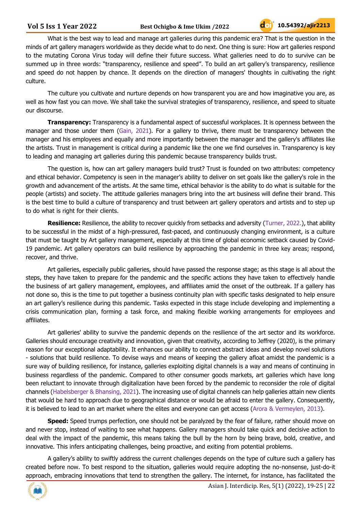What is the best way to lead and manage art galleries during this pandemic era? That is the question in the minds of art gallery managers worldwide as they decide what to do next. One thing is sure: How art galleries respond to the mutating Corona Virus today will define their future success. What galleries need to do to survive can be summed up in three words: "transparency, resilience and speed". To build an art gallery's transparency, resilience and speed do not happen by chance. It depends on the direction of managers' thoughts in cultivating the right culture.

The culture you cultivate and nurture depends on how transparent you are and how imaginative you are, as well as how fast you can move. We shall take the survival strategies of transparency, resilience, and speed to situate our discourse.

**Transparency:** Transparency is a fundamental aspect of successful workplaces. It is openness between the manager and those under them (Gain, 2021). For a gallery to thrive, there must be transparency between the manager and his employees and equally and more importantly between the manager and the gallery's affiliates like the artists. Trust in management is critical during a pandemic like the one we find ourselves in. Transparency is key to leading and managing art galleries during this pandemic because transparency builds trust.

The question is, how can art gallery managers build trust? Trust is founded on two attributes: competency and ethical behavior. Competency is seen in the manager's ability to deliver on set goals like the gallery's role in the growth and advancement of the artists. At the same time, ethical behavior is the ability to do what is suitable for the people (artists) and society. The attitude galleries managers bring into the art business will define their brand. This is the best time to build a culture of transparency and trust between art gallery operators and artists and to step up to do what is right for their clients.

**Resilience:** Resilience, the ability to recover quickly from setbacks and adversity (Turner, 2022.), that ability to be successful in the midst of a high-pressured, fast-paced, and continuously changing environment, is a culture that must be taught by Art gallery management, especially at this time of global economic setback caused by Covid-19 pandemic. Art gallery operators can build resilience by approaching the pandemic in three key areas; respond, recover, and thrive.

Art galleries, especially public galleries, should have passed the response stage; as this stage is all about the steps, they have taken to prepare for the pandemic and the specific actions they have taken to effectively handle the business of art gallery management, employees, and affiliates amid the onset of the outbreak. If a gallery has not done so, this is the time to put together a business continuity plan with specific tasks designated to help ensure an art gallery's resilience during this pandemic. Tasks expected in this stage include developing and implementing a crisis communication plan, forming a task force, and making flexible working arrangements for employees and affiliates.

Art galleries' ability to survive the pandemic depends on the resilience of the art sector and its workforce. Galleries should encourage creativity and innovation, given that creativity, according to Jeffrey (2020), is the primary reason for our exceptional adaptability. It enhances our ability to connect abstract ideas and develop novel solutions - solutions that build resilience. To devise ways and means of keeping the gallery afloat amidst the pandemic is a sure way of building resilience, for instance, galleries exploiting digital channels is a way and means of continuing in business regardless of the pandemic. Compared to other consumer goods markets, art galleries which have long been reluctant to innovate through digitalization have been forced by the pandemic to reconsider the role of digital channels (Habelsberger & Bhansing, 2021). The increasing use of digital channels can help galleries attain new clients that would be hard to approach due to geographical distance or would be afraid to enter the gallery. Consequently, it is believed to lead to an art market where the elites and everyone can get access (Arora & Vermeylen, 2013).

**Speed:** Speed trumps perfection, one should not be paralyzed by the fear of failure, rather should move on and never stop, instead of waiting to see what happens. Gallery managers should take quick and decisive action to deal with the impact of the pandemic, this means taking the bull by the horn by being brave, bold, creative, and innovative. This infers anticipating challenges, being proactive, and exiting from potential problems.

A gallery's ability to swiftly address the current challenges depends on the type of culture such a gallery has created before now. To best respond to the situation, galleries would require adopting the no-nonsense, just-do-it approach, embracing innovations that tend to strengthen the gallery. The internet, for instance, has facilitated the

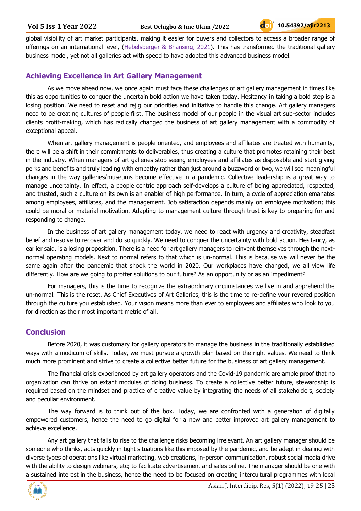global visibility of art market participants, making it easier for buyers and collectors to access a broader range of offerings on an international level, (Hebelsberger & Bhansing, 2021). This has transformed the traditional gallery business model, yet not all galleries act with speed to have adopted this advanced business model.

#### **Achieving Excellence in Art Gallery Management**

As we move ahead now, we once again must face these challenges of art gallery management in times like this as opportunities to conquer the uncertain bold action we have taken today. Hesitancy in taking a bold step is a losing position. We need to reset and rejig our priorities and initiative to handle this change. Art gallery managers need to be creating cultures of people first. The business model of our people in the visual art sub-sector includes clients profit-making, which has radically changed the business of art gallery management with a commodity of exceptional appeal.

When art gallery management is people oriented, and employees and affiliates are treated with humanity, there will be a shift in their commitments to deliverables, thus creating a culture that promotes retaining their best in the industry. When managers of art galleries stop seeing employees and affiliates as disposable and start giving perks and benefits and truly leading with empathy rather than just around a buzzword or two, we will see meaningful changes in the way galleries/museums become effective in a pandemic. Collective leadership is a great way to manage uncertainty. In effect, a people centric approach self-develops a culture of being appreciated, respected, and trusted, such a culture on its own is an enabler of high performance. In turn, a cycle of appreciation emanates among employees, affiliates, and the management. Job satisfaction depends mainly on employee motivation; this could be moral or material motivation. Adapting to management culture through trust is key to preparing for and responding to change.

In the business of art gallery management today, we need to react with urgency and creativity, steadfast belief and resolve to recover and do so quickly. We need to conquer the uncertainty with bold action. Hesitancy, as earlier said, is a losing proposition. There is a need for art gallery managers to reinvent themselves through the nextnormal operating models. Next to normal refers to that which is un-normal. This is because we will never be the same again after the pandemic that shook the world in 2020. Our workplaces have changed, we all view life differently. How are we going to proffer solutions to our future? As an opportunity or as an impediment?

For managers, this is the time to recognize the extraordinary circumstances we live in and apprehend the un-normal. This is the reset. As Chief Executives of Art Galleries, this is the time to re-define your revered position through the culture you established. Your vision means more than ever to employees and affiliates who look to you for direction as their most important metric of all.

#### **Conclusion**

Before 2020, it was customary for gallery operators to manage the business in the traditionally established ways with a modicum of skills. Today, we must pursue a growth plan based on the right values. We need to think much more prominent and strive to create a collective better future for the business of art gallery management.

The financial crisis experienced by art gallery operators and the Covid-19 pandemic are ample proof that no organization can thrive on extant modules of doing business. To create a collective better future, stewardship is required based on the mindset and practice of creative value by integrating the needs of all stakeholders, society and peculiar environment.

The way forward is to think out of the box. Today, we are confronted with a generation of digitally empowered customers, hence the need to go digital for a new and better improved art gallery management to achieve excellence.

Any art gallery that fails to rise to the challenge risks becoming irrelevant. An art gallery manager should be someone who thinks, acts quickly in tight situations like this imposed by the pandemic, and be adept in dealing with diverse types of operations like virtual marketing, web creations, in-person communication, robust social media drive with the ability to design webinars, etc; to facilitate advertisement and sales online. The manager should be one with a sustained interest in the business, hence the need to be focused on creating intercultural programmes with local

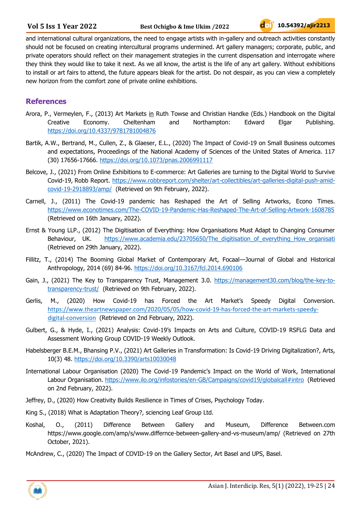and international cultural organizations, the need to engage artists with in-gallery and outreach activities constantly should not be focused on creating intercultural programs undermined. Art gallery managers; corporate, public, and private operators should reflect on their management strategies in the current dispensation and interrogate where they think they would like to take it next. As we all know, the artist is the life of any art gallery. Without exhibitions to install or art fairs to attend, the future appears bleak for the artist. Do not despair, as you can view a completely new horizon from the comfort zone of private online exhibitions.

#### **References**

- Arora, P., Vermeylen, F., (2013) Art Markets in Ruth Towse and Christian Handke (Eds.) Handbook on the Digital Creative Economy. Cheltenham and Northampton: Edward Elgar Publishing. <https://doi.org/10.4337/9781781004876>
- Bartik, A.W., Bertrand, M., Cullen, Z., & Glaeser, E.L., (2020) The Impact of Covid-19 on Small Business outcomes and expectations, Proceedings of the National Academy of Sciences of the United States of America. 117 (30) 17656-17666.<https://doi.org/10.1073/pnas.2006991117>
- Belcove, J., (2021) From Online Exhibitions to E-commerce: Art Galleries are turning to the Digital World to Survive Covid-19, Robb Report. [https://www.robbreport.com/shelter/art-collectibles/art-galleries-digital-push-amid](https://www.robbreport.com/shelter/art-collectibles/art-galleries-digital-push-amid-covid-19-2918893/amp/)[covid-19-2918893/amp/](https://www.robbreport.com/shelter/art-collectibles/art-galleries-digital-push-amid-covid-19-2918893/amp/) (Retrieved on 9th February, 2022).
- Carnell, J., (2011) The Covid-19 pandemic has Reshaped the Art of Selling Artworks, Econo Times. <https://www.econotimes.com/The-COVID-19-Pandemic-Has-Reshaped-The-Art-of-Selling-Artwork-1608785> (Retrieved on 16th January, 2022).
- Ernst & Young LLP., (2012) The Digitisation of Everything: How Organisations Must Adapt to Changing Consumer Behaviour, UK. https://www.academia.edu/23705650/The digitisation of everything How organisation (Retrieved on 29th January, 2022).
- Fillitz, T., (2014) The Booming Global Market of Contemporary Art, Focaal—Journal of Global and Historical Anthropology, 2014 (69) 84-96.<https://doi.org/10.3167/fcl.2014.690106>
- Gain, J., (2021) The Key to Transparency Trust, Management 3.0. [https://management30.com/blog/the-key-to](https://management30.com/blog/the-key-to-transparency-trust/)[transparency-trust/](https://management30.com/blog/the-key-to-transparency-trust/) (Retrieved on 9th February, 2022).
- Gerlis, M., (2020) How Covid-19 has Forced the Art Market's Speedy Digital Conversion. [https://www.theartnewspaper.com/2020/05/05/how-covid-19-has-forced-the-art-markets-speedy](https://www.theartnewspaper.com/2020/05/05/how-covid-19-has-forced-the-art-markets-speedy-digital-conversion)[digital-conversion](https://www.theartnewspaper.com/2020/05/05/how-covid-19-has-forced-the-art-markets-speedy-digital-conversion) (Retrieved on 2nd February, 2022).
- Gulbert, G., & Hyde, I., (2021) Analysis: Covid-19's Impacts on Arts and Culture, COVID-19 RSFLG Data and Assessment Working Group COVID-19 Weekly Outlook.
- Habelsberger B.E.M., Bhansing P.V., (2021) Art Galleries in Transformation: Is Covid-19 Driving Digitalization?, Arts, 10(3) 48.<https://doi.org/10.3390/arts10030048>
- International Labour Organisation (2020) The Covid-19 Pandemic's Impact on the World of Work, International Labour Organisation.<https://www.ilo.org/infostories/en-GB/Campaigns/covid19/globalcall#intro> (Retrieved on 2nd February, 2022).
- Jeffrey, D., (2020) How Creativity Builds Resilience in Times of Crises, Psychology Today.
- King S., (2018) What is Adaptation Theory?, sciencing Leaf Group Ltd.
- Koshal, O., (2011) Difference Between Gallery and Museum, Difference Between.com https://www.google.com/amp/s/www.differnce-between-gallery-and-vs-museum/amp/ (Retrieved on 27th October, 2021).
- McAndrew, C., (2020) The Impact of COVID-19 on the Gallery Sector, Art Basel and UPS, Basel.